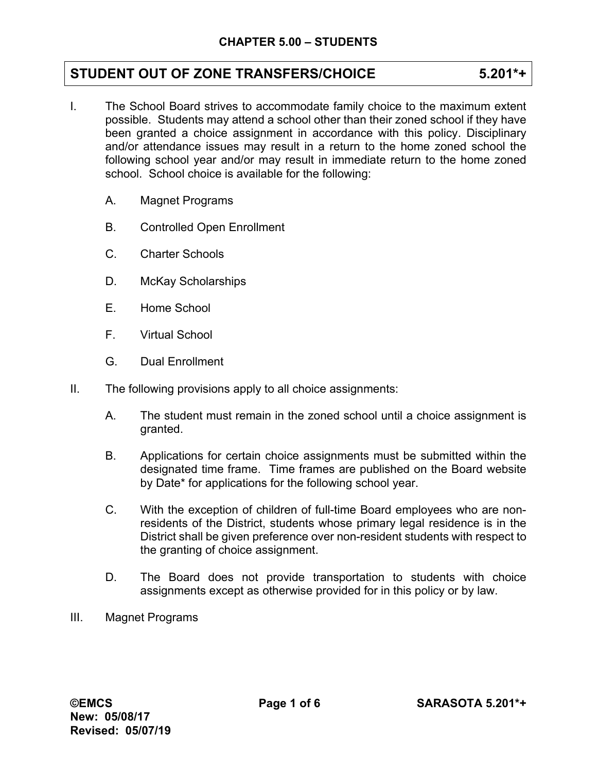# **STUDENT OUT OF ZONE TRANSFERS/CHOICE 5.201\*+**

- I. The School Board strives to accommodate family choice to the maximum extent possible. Students may attend a school other than their zoned school if they have been granted a choice assignment in accordance with this policy. Disciplinary and/or attendance issues may result in a return to the home zoned school the following school year and/or may result in immediate return to the home zoned school. School choice is available for the following:
	- A. Magnet Programs
	- B. Controlled Open Enrollment
	- C. Charter Schools
	- D. McKay Scholarships
	- E. Home School
	- F. Virtual School
	- G. Dual Enrollment
- II. The following provisions apply to all choice assignments:
	- A. The student must remain in the zoned school until a choice assignment is granted.
	- B. Applications for certain choice assignments must be submitted within the designated time frame. Time frames are published on the Board website by Date\* for applications for the following school year.
	- C. With the exception of children of full-time Board employees who are nonresidents of the District, students whose primary legal residence is in the District shall be given preference over non-resident students with respect to the granting of choice assignment.
	- D. The Board does not provide transportation to students with choice assignments except as otherwise provided for in this policy or by law.
- III. Magnet Programs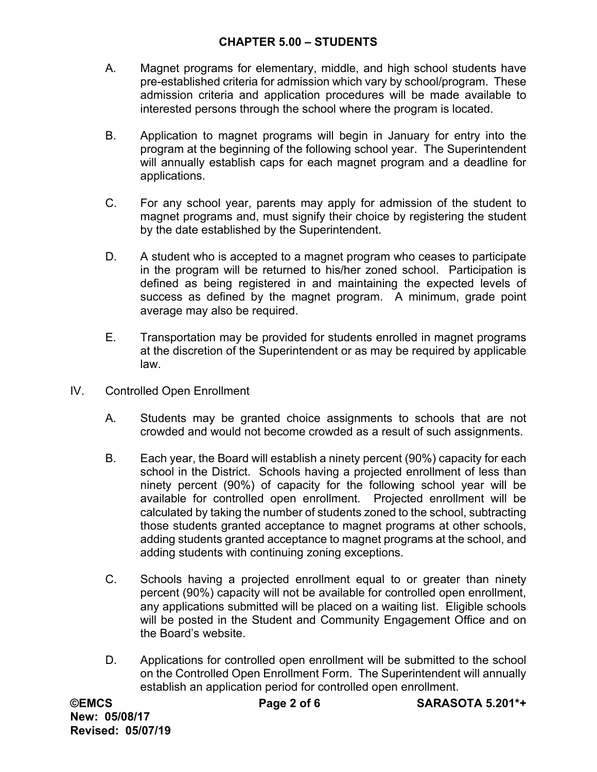## **CHAPTER 5.00 – STUDENTS**

- A. Magnet programs for elementary, middle, and high school students have pre-established criteria for admission which vary by school/program. These admission criteria and application procedures will be made available to interested persons through the school where the program is located.
- B. Application to magnet programs will begin in January for entry into the program at the beginning of the following school year. The Superintendent will annually establish caps for each magnet program and a deadline for applications.
- C. For any school year, parents may apply for admission of the student to magnet programs and, must signify their choice by registering the student by the date established by the Superintendent.
- D. A student who is accepted to a magnet program who ceases to participate in the program will be returned to his/her zoned school. Participation is defined as being registered in and maintaining the expected levels of success as defined by the magnet program. A minimum, grade point average may also be required.
- E. Transportation may be provided for students enrolled in magnet programs at the discretion of the Superintendent or as may be required by applicable law.
- IV. Controlled Open Enrollment
	- A. Students may be granted choice assignments to schools that are not crowded and would not become crowded as a result of such assignments.
	- B. Each year, the Board will establish a ninety percent (90%) capacity for each school in the District. Schools having a projected enrollment of less than ninety percent (90%) of capacity for the following school year will be available for controlled open enrollment. Projected enrollment will be calculated by taking the number of students zoned to the school, subtracting those students granted acceptance to magnet programs at other schools, adding students granted acceptance to magnet programs at the school, and adding students with continuing zoning exceptions.
	- C. Schools having a projected enrollment equal to or greater than ninety percent (90%) capacity will not be available for controlled open enrollment, any applications submitted will be placed on a waiting list. Eligible schools will be posted in the Student and Community Engagement Office and on the Board's website.
	- D. Applications for controlled open enrollment will be submitted to the school on the Controlled Open Enrollment Form. The Superintendent will annually establish an application period for controlled open enrollment.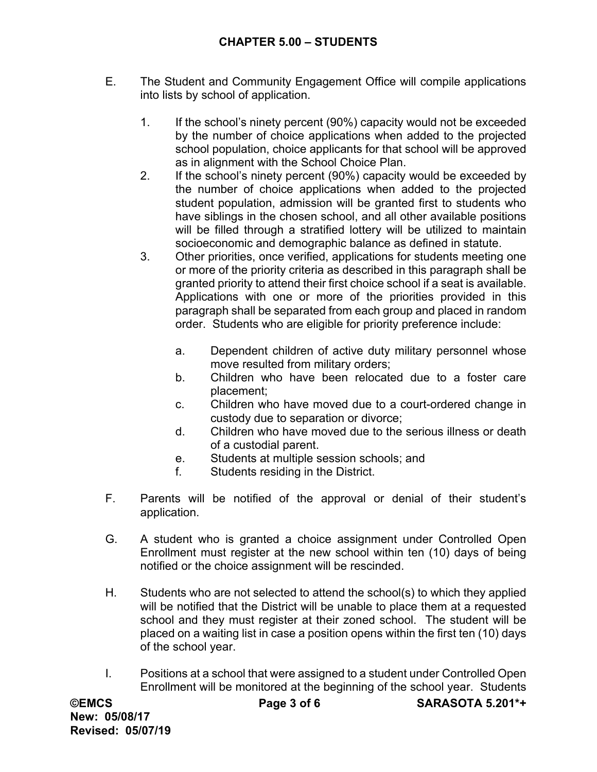- E. The Student and Community Engagement Office will compile applications into lists by school of application.
	- 1. If the school's ninety percent (90%) capacity would not be exceeded by the number of choice applications when added to the projected school population, choice applicants for that school will be approved as in alignment with the School Choice Plan.
	- 2. If the school's ninety percent (90%) capacity would be exceeded by the number of choice applications when added to the projected student population, admission will be granted first to students who have siblings in the chosen school, and all other available positions will be filled through a stratified lottery will be utilized to maintain socioeconomic and demographic balance as defined in statute.
	- 3. Other priorities, once verified, applications for students meeting one or more of the priority criteria as described in this paragraph shall be granted priority to attend their first choice school if a seat is available. Applications with one or more of the priorities provided in this paragraph shall be separated from each group and placed in random order. Students who are eligible for priority preference include:
		- a. Dependent children of active duty military personnel whose move resulted from military orders;
		- b. Children who have been relocated due to a foster care placement;
		- c. Children who have moved due to a court-ordered change in custody due to separation or divorce;
		- d. Children who have moved due to the serious illness or death of a custodial parent.
		- e. Students at multiple session schools; and
		- f. Students residing in the District.
- F. Parents will be notified of the approval or denial of their student's application.
- G. A student who is granted a choice assignment under Controlled Open Enrollment must register at the new school within ten (10) days of being notified or the choice assignment will be rescinded.
- H. Students who are not selected to attend the school(s) to which they applied will be notified that the District will be unable to place them at a requested school and they must register at their zoned school. The student will be placed on a waiting list in case a position opens within the first ten (10) days of the school year.
- I. Positions at a school that were assigned to a student under Controlled Open Enrollment will be monitored at the beginning of the school year. Students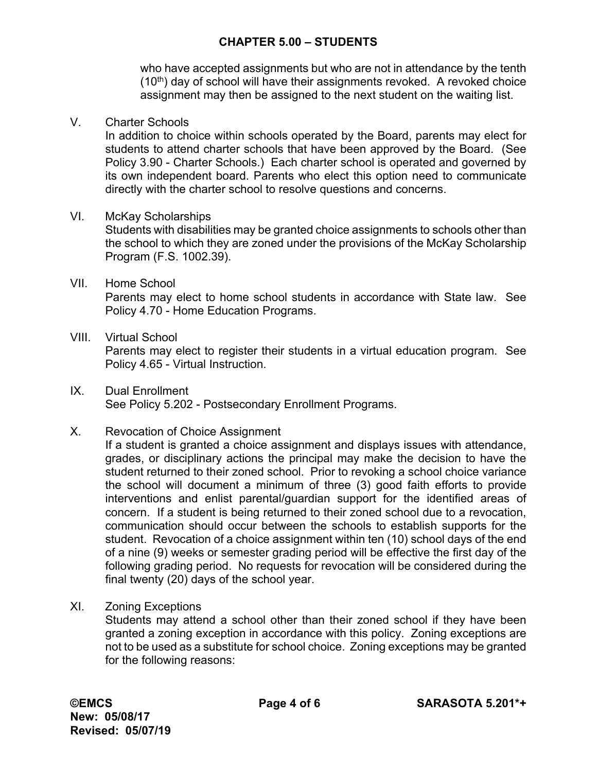## **CHAPTER 5.00 – STUDENTS**

who have accepted assignments but who are not in attendance by the tenth  $(10<sup>th</sup>)$  day of school will have their assignments revoked. A revoked choice assignment may then be assigned to the next student on the waiting list.

#### V. Charter Schools

In addition to choice within schools operated by the Board, parents may elect for students to attend charter schools that have been approved by the Board. (See Policy 3.90 - Charter Schools.) Each charter school is operated and governed by its own independent board. Parents who elect this option need to communicate directly with the charter school to resolve questions and concerns.

#### VI. McKay Scholarships

Students with disabilities may be granted choice assignments to schools other than the school to which they are zoned under the provisions of the McKay Scholarship Program (F.S. 1002.39).

- VII. Home School Parents may elect to home school students in accordance with State law. See Policy 4.70 - Home Education Programs.
- VIII. Virtual School

Parents may elect to register their students in a virtual education program. See Policy 4.65 - Virtual Instruction.

IX. Dual Enrollment See Policy 5.202 - Postsecondary Enrollment Programs.

### X. Revocation of Choice Assignment

If a student is granted a choice assignment and displays issues with attendance, grades, or disciplinary actions the principal may make the decision to have the student returned to their zoned school. Prior to revoking a school choice variance the school will document a minimum of three (3) good faith efforts to provide interventions and enlist parental/guardian support for the identified areas of concern. If a student is being returned to their zoned school due to a revocation, communication should occur between the schools to establish supports for the student. Revocation of a choice assignment within ten (10) school days of the end of a nine (9) weeks or semester grading period will be effective the first day of the following grading period. No requests for revocation will be considered during the final twenty (20) days of the school year.

XI. Zoning Exceptions

Students may attend a school other than their zoned school if they have been granted a zoning exception in accordance with this policy. Zoning exceptions are not to be used as a substitute for school choice. Zoning exceptions may be granted for the following reasons: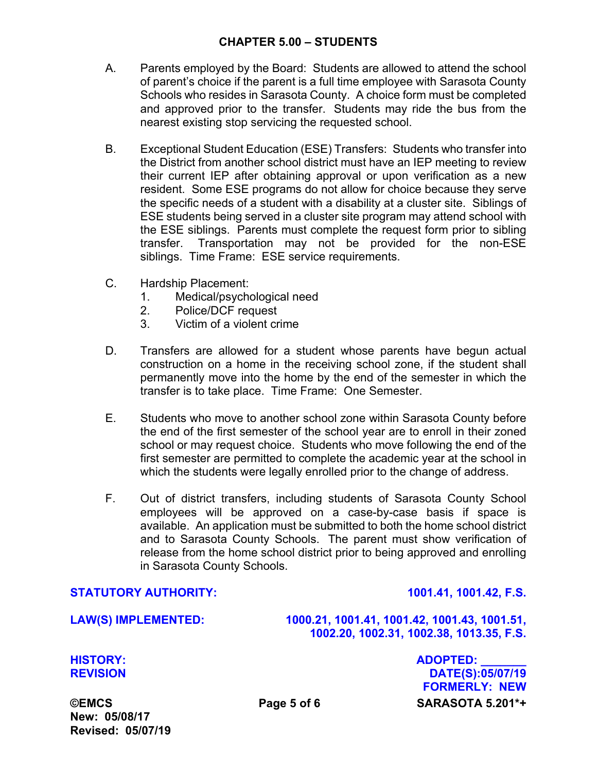### **CHAPTER 5.00 – STUDENTS**

- A. Parents employed by the Board: Students are allowed to attend the school of parent's choice if the parent is a full time employee with Sarasota County Schools who resides in Sarasota County. A choice form must be completed and approved prior to the transfer. Students may ride the bus from the nearest existing stop servicing the requested school.
- B. Exceptional Student Education (ESE) Transfers: Students who transfer into the District from another school district must have an IEP meeting to review their current IEP after obtaining approval or upon verification as a new resident. Some ESE programs do not allow for choice because they serve the specific needs of a student with a disability at a cluster site. Siblings of ESE students being served in a cluster site program may attend school with the ESE siblings. Parents must complete the request form prior to sibling transfer. Transportation may not be provided for the non-ESE siblings. Time Frame: ESE service requirements.
- C. Hardship Placement:
	- 1. Medical/psychological need
	- 2. Police/DCF request
	- 3. Victim of a violent crime
- D. Transfers are allowed for a student whose parents have begun actual construction on a home in the receiving school zone, if the student shall permanently move into the home by the end of the semester in which the transfer is to take place. Time Frame: One Semester.
- E. Students who move to another school zone within Sarasota County before the end of the first semester of the school year are to enroll in their zoned school or may request choice. Students who move following the end of the first semester are permitted to complete the academic year at the school in which the students were legally enrolled prior to the change of address.
- F. Out of district transfers, including students of Sarasota County School employees will be approved on a case-by-case basis if space is available. An application must be submitted to both the home school district and to Sarasota County Schools. The parent must show verification of release from the home school district prior to being approved and enrolling in Sarasota County Schools.

#### **STATUTORY AUTHORITY: 1001.41, 1001.42, F.S.**

**LAW(S) IMPLEMENTED: 1000.21, 1001.41, 1001.42, 1001.43, 1001.51, 1002.20, 1002.31, 1002.38, 1013.35, F.S.** 

**©EMCS Page 5 of 6 SARASOTA 5.201\*+ HISTORY: ADOPTED: \_\_\_\_\_\_\_ REVISION DATE(S):05/07/19 FORMERLY: NEW** 

**New: 05/08/17 Revised: 05/07/19**